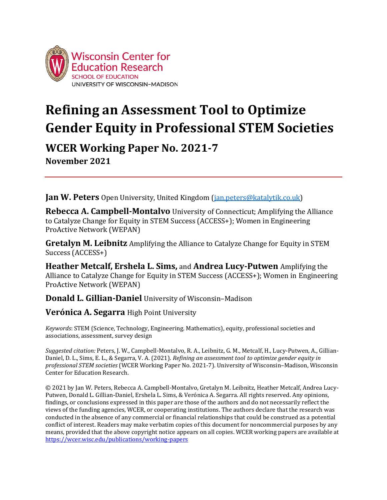

# **Refining an Assessment Tool to Optimize Gender Equity in Professional STEM Societies**

**WCER Working Paper No. 2021-7 November 2021**

**Jan W. Peters** Open University, United Kingdom (*jan.peters@katalytik.co.uk*)

**Rebecca A. Campbell-Montalvo** University of Connecticut; Amplifying the Alliance to Catalyze Change for Equity in STEM Success (ACCESS+); Women in Engineering ProActive Network (WEPAN)

**Gretalyn M. Leibnitz** Amplifying the Alliance to Catalyze Change for Equity in STEM Success (ACCESS+)

**Heather Metcalf, Ershela L. Sims,** and **Andrea Lucy-Putwen** Amplifying the Alliance to Catalyze Change for Equity in STEM Success (ACCESS+); Women in Engineering ProActive Network (WEPAN)

**Donald L. Gillian-Daniel** University of Wisconsin–Madison

**Verónica A. Segarra** High Point University

*Keywords*: STEM (Science, Technology, Engineering. Mathematics), equity, professional societies and associations, assessment, survey design

*Suggested citation:* Peters, J. W., Campbell-Montalvo, R. A., Leibnitz, G. M., Metcalf, H., Lucy-Putwen, A., Gillian-Daniel, D. L., Sims, E. L., & Segarra, V. A. (2021). *Refining an assessment tool to optimize gender equity in professional STEM societies* (WCER Working Paper No. 2021-7). University of Wisconsin–Madison, Wisconsin Center for Education Research.

© 2021 by Jan W. Peters, Rebecca A. Campbell-Montalvo, Gretalyn M. Leibnitz, Heather Metcalf, Andrea Lucy-Putwen, Donald L. Gillian-Daniel, Ershela L. Sims, & Verónica A. Segarra. All rights reserved. Any opinions, findings, or conclusions expressed in this paper are those of the authors and do not necessarily reflect the views of the funding agencies, WCER, or cooperating institutions. The authors declare that the research was conducted in the absence of any commercial or financial relationships that could be construed as a potential conflict of interest. Readers may make verbatim copies of this document for noncommercial purposes by any means, provided that the above copyright notice appears on all copies. WCER working papers are available at <https://wcer.wisc.edu/publications/working-papers>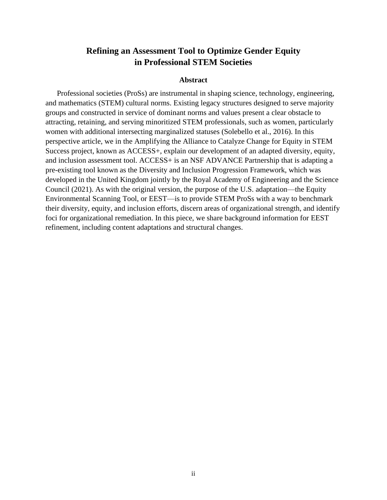# **Refining an Assessment Tool to Optimize Gender Equity in Professional STEM Societies**

#### **Abstract**

Professional societies (ProSs) are instrumental in shaping science, technology, engineering, and mathematics (STEM) cultural norms. Existing legacy structures designed to serve majority groups and constructed in service of dominant norms and values present a clear obstacle to attracting, retaining, and serving minoritized STEM professionals, such as women, particularly women with additional intersecting marginalized statuses (Solebello et al., 2016). In this perspective article, we in the Amplifying the Alliance to Catalyze Change for Equity in STEM Success project, known as ACCESS+, explain our development of an adapted diversity, equity, and inclusion assessment tool. ACCESS+ is an NSF ADVANCE Partnership that is adapting a pre-existing tool known as the Diversity and Inclusion Progression Framework, which was developed in the United Kingdom jointly by the Royal Academy of Engineering and the Science Council (2021). As with the original version, the purpose of the U.S. adaptation—the Equity Environmental Scanning Tool, or EEST—is to provide STEM ProSs with a way to benchmark their diversity, equity, and inclusion efforts, discern areas of organizational strength, and identify foci for organizational remediation. In this piece, we share background information for EEST refinement, including content adaptations and structural changes.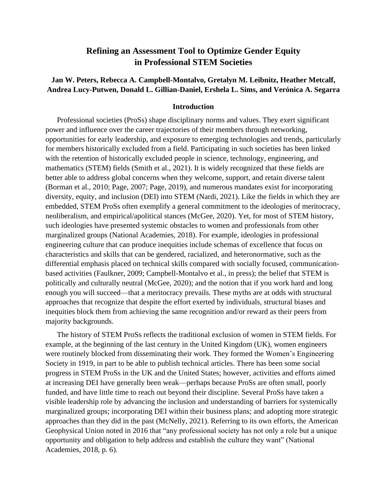# **Refining an Assessment Tool to Optimize Gender Equity in Professional STEM Societies**

## **Jan W. Peters, Rebecca A. Campbell-Montalvo, Gretalyn M. Leibnitz, Heather Metcalf, Andrea Lucy-Putwen, Donald L. Gillian-Daniel, Ershela L. Sims, and Verónica A. Segarra**

#### **Introduction**

Professional societies (ProSs) shape disciplinary norms and values. They exert significant power and influence over the career trajectories of their members through networking, opportunities for early leadership, and exposure to emerging technologies and trends, particularly for members historically excluded from a field. Participating in such societies has been linked with the retention of historically excluded people in science, technology, engineering, and mathematics (STEM) fields (Smith et al., 2021). It is widely recognized that these fields are better able to address global concerns when they welcome, support, and retain diverse talent (Borman et al., 2010; Page, 2007; Page, 2019), and numerous mandates exist for incorporating diversity, equity, and inclusion (DEI) into STEM (Nardi, 2021). Like the fields in which they are embedded, STEM ProSs often exemplify a general commitment to the ideologies of meritocracy, neoliberalism, and empirical/apolitical stances (McGee, 2020). Yet, for most of STEM history, such ideologies have presented systemic obstacles to women and professionals from other marginalized groups (National Academies, 2018). For example, ideologies in professional engineering culture that can produce inequities include schemas of excellence that focus on characteristics and skills that can be gendered, racialized, and heteronormative, such as the differential emphasis placed on technical skills compared with socially focused, communicationbased activities (Faulkner, 2009; Campbell-Montalvo et al., in press); the belief that STEM is politically and culturally neutral (McGee, 2020); and the notion that if you work hard and long enough you will succeed—that a meritocracy prevails. These myths are at odds with structural approaches that recognize that despite the effort exerted by individuals, structural biases and inequities block them from achieving the same recognition and/or reward as their peers from majority backgrounds.

The history of STEM ProSs reflects the traditional exclusion of women in STEM fields. For example, at the beginning of the last century in the United Kingdom (UK), women engineers were routinely blocked from disseminating their work. They formed the Women's Engineering Society in 1919, in part to be able to publish technical articles. There has been some social progress in STEM ProSs in the UK and the United States; however, activities and efforts aimed at increasing DEI have generally been weak—perhaps because ProSs are often small, poorly funded, and have little time to reach out beyond their discipline. Several ProSs have taken a visible leadership role by advancing the inclusion and understanding of barriers for systemically marginalized groups; incorporating DEI within their business plans; and adopting more strategic approaches than they did in the past (McNelly, 2021). Referring to its own efforts, the American Geophysical Union noted in 2016 that "any professional society has not only a role but a unique opportunity and obligation to help address and establish the culture they want" (National Academies, 2018, p. 6).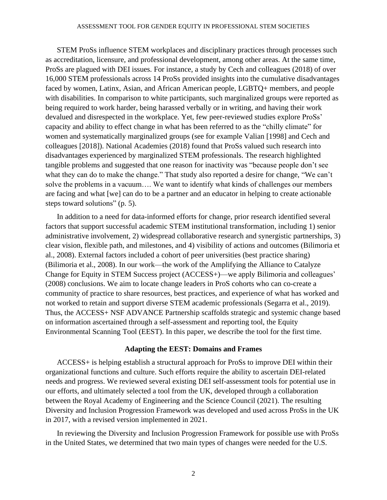#### ASSESSMENT TOOL FOR GENDER EQUITY IN PROFESSIONAL STEM SOCIETIES

STEM ProSs influence STEM workplaces and disciplinary practices through processes such as accreditation, licensure, and professional development, among other areas. At the same time, ProSs are plagued with DEI issues. For instance, a study by Cech and colleagues (2018) of over 16,000 STEM professionals across 14 ProSs provided insights into the cumulative disadvantages faced by women, Latinx, Asian, and African American people, LGBTQ+ members, and people with disabilities. In comparison to white participants, such marginalized groups were reported as being required to work harder, being harassed verbally or in writing, and having their work devalued and disrespected in the workplace. Yet, few peer-reviewed studies explore ProSs' capacity and ability to effect change in what has been referred to as the "chilly climate" for women and systematically marginalized groups (see for example Valian [1998] and Cech and colleagues [2018]). National Academies (2018) found that ProSs valued such research into disadvantages experienced by marginalized STEM professionals. The research highlighted tangible problems and suggested that one reason for inactivity was "because people don't see what they can do to make the change." That study also reported a desire for change, "We can't solve the problems in a vacuum…. We want to identify what kinds of challenges our members are facing and what [we] can do to be a partner and an educator in helping to create actionable steps toward solutions" (p. 5).

In addition to a need for data-informed efforts for change, prior research identified several factors that support successful academic STEM institutional transformation, including 1) senior administrative involvement, 2) widespread collaborative research and synergistic partnerships, 3) clear vision, flexible path, and milestones, and 4) visibility of actions and outcomes (Bilimoria et al., 2008). External factors included a cohort of peer universities (best practice sharing) (Bilimoria et al., 2008). In our work—the work of the Amplifying the Alliance to Catalyze Change for Equity in STEM Success project (ACCESS+)—we apply Bilimoria and colleagues' (2008) conclusions. We aim to locate change leaders in ProS cohorts who can co-create a community of practice to share resources, best practices, and experience of what has worked and not worked to retain and support diverse STEM academic professionals (Segarra et al., 2019). Thus, the ACCESS+ NSF ADVANCE Partnership scaffolds strategic and systemic change based on information ascertained through a self-assessment and reporting tool, the Equity Environmental Scanning Tool (EEST). In this paper, we describe the tool for the first time.

#### **Adapting the EEST: Domains and Frames**

ACCESS+ is helping establish a structural approach for ProSs to improve DEI within their organizational functions and culture. Such efforts require the ability to ascertain DEI-related needs and progress. We reviewed several existing DEI self-assessment tools for potential use in our efforts, and ultimately selected a tool from the UK, developed through a collaboration between the Royal Academy of Engineering and the Science Council (2021). The resulting Diversity and Inclusion Progression Framework was developed and used across ProSs in the UK in 2017, with a revised version implemented in 2021.

In reviewing the Diversity and Inclusion Progression Framework for possible use with ProSs in the United States, we determined that two main types of changes were needed for the U.S.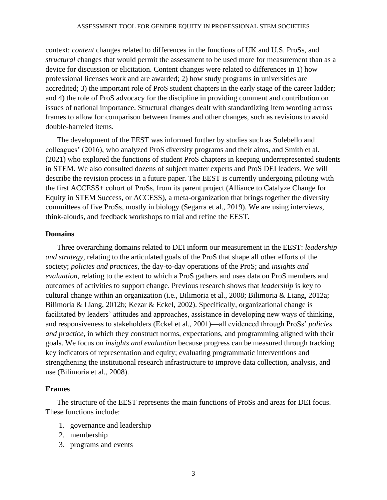#### ASSESSMENT TOOL FOR GENDER EQUITY IN PROFESSIONAL STEM SOCIETIES

context: *content* changes related to differences in the functions of UK and U.S. ProSs, and *structural* changes that would permit the assessment to be used more for measurement than as a device for discussion or elicitation. Content changes were related to differences in 1) how professional licenses work and are awarded; 2) how study programs in universities are accredited; 3) the important role of ProS student chapters in the early stage of the career ladder; and 4) the role of ProS advocacy for the discipline in providing comment and contribution on issues of national importance. Structural changes dealt with standardizing item wording across frames to allow for comparison between frames and other changes, such as revisions to avoid double-barreled items.

The development of the EEST was informed further by studies such as Solebello and colleagues' (2016), who analyzed ProS diversity programs and their aims, and Smith et al. (2021) who explored the functions of student ProS chapters in keeping underrepresented students in STEM. We also consulted dozens of subject matter experts and ProS DEI leaders. We will describe the revision process in a future paper. The EEST is currently undergoing piloting with the first ACCESS+ cohort of ProSs, from its parent project (Alliance to Catalyze Change for Equity in STEM Success, or ACCESS), a meta-organization that brings together the diversity committees of five ProSs, mostly in biology (Segarra et al., 2019). We are using interviews, think-alouds, and feedback workshops to trial and refine the EEST.

### **Domains**

Three overarching domains related to DEI inform our measurement in the EEST: *leadership and strategy*, relating to the articulated goals of the ProS that shape all other efforts of the society; *policies and practices*, the day-to-day operations of the ProS; and *insights and evaluation*, relating to the extent to which a ProS gathers and uses data on ProS members and outcomes of activities to support change. Previous research shows that *leadership* is key to cultural change within an organization (i.e., Bilimoria et al., 2008; Bilimoria & Liang, 2012a; Bilimoria & Liang, 2012b; Kezar & Eckel, 2002). Specifically, organizational change is facilitated by leaders' attitudes and approaches, assistance in developing new ways of thinking, and responsiveness to stakeholders (Eckel et al., 2001)—all evidenced through ProSs' *policies and practice*, in which they construct norms, expectations, and programming aligned with their goals. We focus on *insights and evaluation* because progress can be measured through tracking key indicators of representation and equity; evaluating programmatic interventions and strengthening the institutional research infrastructure to improve data collection, analysis, and use (Bilimoria et al., 2008).

## **Frames**

The structure of the EEST represents the main functions of ProSs and areas for DEI focus. These functions include:

- 1. governance and leadership
- 2. membership
- 3. programs and events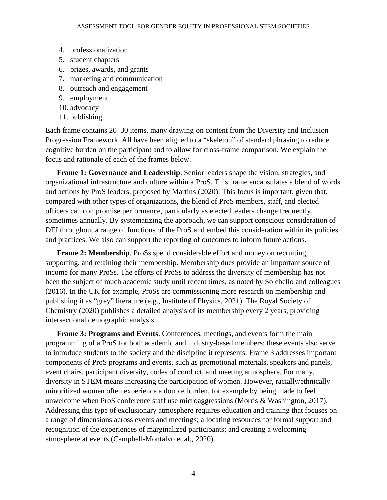- 4. professionalization
- 5. student chapters
- 6. prizes, awards, and grants
- 7. marketing and communication
- 8. outreach and engagement
- 9. employment
- 10. advocacy
- 11. publishing

Each frame contains 20–30 items, many drawing on content from the Diversity and Inclusion Progression Framework. All have been aligned to a "skeleton" of standard phrasing to reduce cognitive burden on the participant and to allow for cross-frame comparison. We explain the focus and rationale of each of the frames below.

**Frame 1: Governance and Leadership**. Senior leaders shape the vision, strategies, and organizational infrastructure and culture within a ProS. This frame encapsulates a blend of words and actions by ProS leaders, proposed by Martins (2020). This focus is important, given that, compared with other types of organizations, the blend of ProS members, staff, and elected officers can compromise performance, particularly as elected leaders change frequently, sometimes annually. By systematizing the approach, we can support conscious consideration of DEI throughout a range of functions of the ProS and embed this consideration within its policies and practices. We also can support the reporting of outcomes to inform future actions.

**Frame 2: Membership**. ProSs spend considerable effort and money on recruiting, supporting, and retaining their membership. Membership dues provide an important source of income for many ProSs. The efforts of ProSs to address the diversity of membership has not been the subject of much academic study until recent times, as noted by Solebello and colleagues (2016). In the UK for example, ProSs are commissioning more research on membership and publishing it as "grey" literature (e.g., Institute of Physics, 2021). The Royal Society of Chemistry (2020) publishes a detailed analysis of its membership every 2 years, providing intersectional demographic analysis.

**Frame 3: Programs and Events**. Conferences, meetings, and events form the main programming of a ProS for both academic and industry-based members; these events also serve to introduce students to the society and the discipline it represents. Frame 3 addresses important components of ProS programs and events, such as promotional materials, speakers and panels, event chairs, participant diversity, codes of conduct, and meeting atmosphere. For many, diversity in STEM means increasing the participation of women. However, racially/ethnically minoritized women often experience a double burden, for example by being made to feel unwelcome when ProS conference staff use microaggressions (Morris & Washington, 2017). Addressing this type of exclusionary atmosphere requires education and training that focuses on a range of dimensions across events and meetings; allocating resources for formal support and recognition of the experiences of marginalized participants; and creating a welcoming atmosphere at events (Campbell-Montalvo et al., 2020).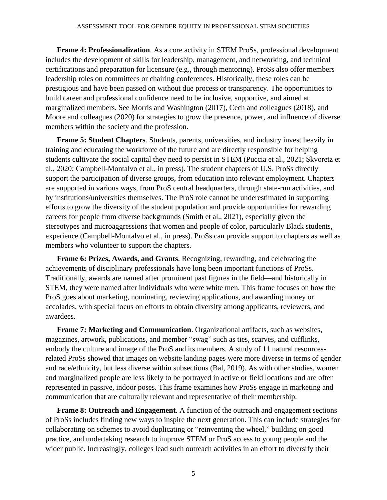**Frame 4: Professionalization**. As a core activity in STEM ProSs, professional development includes the development of skills for leadership, management, and networking, and technical certifications and preparation for licensure (e.g., through mentoring). ProSs also offer members leadership roles on committees or chairing conferences. Historically, these roles can be prestigious and have been passed on without due process or transparency. The opportunities to build career and professional confidence need to be inclusive, supportive, and aimed at marginalized members. See Morris and Washington (2017), Cech and colleagues (2018), and Moore and colleagues (2020) for strategies to grow the presence, power, and influence of diverse members within the society and the profession.

**Frame 5: Student Chapters**. Students, parents, universities, and industry invest heavily in training and educating the workforce of the future and are directly responsible for helping students cultivate the social capital they need to persist in STEM (Puccia et al., 2021; Skvoretz et al., 2020; Campbell-Montalvo et al., in press). The student chapters of U.S. ProSs directly support the participation of diverse groups, from education into relevant employment. Chapters are supported in various ways, from ProS central headquarters, through state-run activities, and by institutions/universities themselves. The ProS role cannot be underestimated in supporting efforts to grow the diversity of the student population and provide opportunities for rewarding careers for people from diverse backgrounds (Smith et al., 2021), especially given the stereotypes and microaggressions that women and people of color, particularly Black students, experience (Campbell-Montalvo et al., in press). ProSs can provide support to chapters as well as members who volunteer to support the chapters.

**Frame 6: Prizes, Awards, and Grants**. Recognizing, rewarding, and celebrating the achievements of disciplinary professionals have long been important functions of ProSs. Traditionally, awards are named after prominent past figures in the field—and historically in STEM, they were named after individuals who were white men. This frame focuses on how the ProS goes about marketing, nominating, reviewing applications, and awarding money or accolades, with special focus on efforts to obtain diversity among applicants, reviewers, and awardees.

**Frame 7: Marketing and Communication**. Organizational artifacts, such as websites, magazines, artwork, publications, and member "swag" such as ties, scarves, and cufflinks, embody the culture and image of the ProS and its members. A study of 11 natural resourcesrelated ProSs showed that images on website landing pages were more diverse in terms of gender and race/ethnicity, but less diverse within subsections (Bal, 2019). As with other studies, women and marginalized people are less likely to be portrayed in active or field locations and are often represented in passive, indoor poses. This frame examines how ProSs engage in marketing and communication that are culturally relevant and representative of their membership.

**Frame 8: Outreach and Engagement**. A function of the outreach and engagement sections of ProSs includes finding new ways to inspire the next generation. This can include strategies for collaborating on schemes to avoid duplicating or "reinventing the wheel," building on good practice, and undertaking research to improve STEM or ProS access to young people and the wider public. Increasingly, colleges lead such outreach activities in an effort to diversify their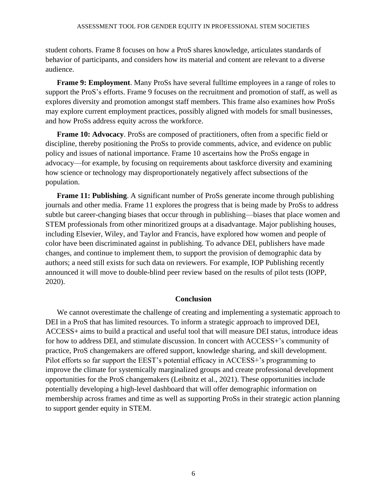student cohorts. Frame 8 focuses on how a ProS shares knowledge, articulates standards of behavior of participants, and considers how its material and content are relevant to a diverse audience.

**Frame 9: Employment**. Many ProSs have several fulltime employees in a range of roles to support the ProS's efforts. Frame 9 focuses on the recruitment and promotion of staff, as well as explores diversity and promotion amongst staff members. This frame also examines how ProSs may explore current employment practices, possibly aligned with models for small businesses, and how ProSs address equity across the workforce.

**Frame 10: Advocacy**. ProSs are composed of practitioners, often from a specific field or discipline, thereby positioning the ProSs to provide comments, advice, and evidence on public policy and issues of national importance. Frame 10 ascertains how the ProSs engage in advocacy—for example, by focusing on requirements about taskforce diversity and examining how science or technology may disproportionately negatively affect subsections of the population.

**Frame 11: Publishing.** A significant number of ProSs generate income through publishing journals and other media. Frame 11 explores the progress that is being made by ProSs to address subtle but career-changing biases that occur through in publishing—biases that place women and STEM professionals from other minoritized groups at a disadvantage. Major publishing houses, including Elsevier, Wiley, and Taylor and Francis, have explored how women and people of color have been discriminated against in publishing. To advance DEI, publishers have made changes, and continue to implement them, to support the provision of demographic data by authors; a need still exists for such data on reviewers. For example, IOP Publishing recently announced it will move to double-blind peer review based on the results of pilot tests (IOPP, 2020).

#### **Conclusion**

We cannot overestimate the challenge of creating and implementing a systematic approach to DEI in a ProS that has limited resources. To inform a strategic approach to improved DEI, ACCESS+ aims to build a practical and useful tool that will measure DEI status, introduce ideas for how to address DEI, and stimulate discussion. In concert with ACCESS+'s community of practice, ProS changemakers are offered support, knowledge sharing, and skill development. Pilot efforts so far support the EEST's potential efficacy in ACCESS+'s programming to improve the climate for systemically marginalized groups and create professional development opportunities for the ProS changemakers (Leibnitz et al., 2021). These opportunities include potentially developing a high-level dashboard that will offer demographic information on membership across frames and time as well as supporting ProSs in their strategic action planning to support gender equity in STEM.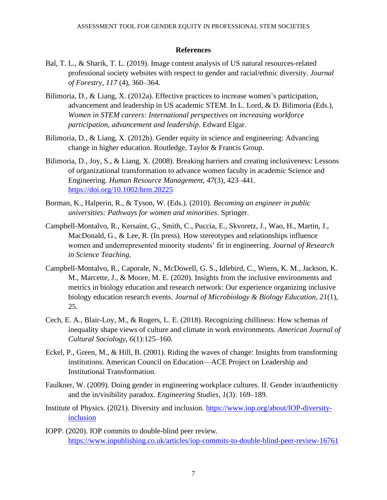## **References**

- Bal, T. L., & Sharik, T. L. [\(2019\). Image content analysis of US natural resources-related](https://col-mtu.primo.exlibrisgroup.com/discovery/fulldisplay?docid=cdi_proquest_journals_2258091509&context=PC&vid=01COL_MTU:MTU&lang=en&adaptor=Primo%20Central)  [professional society websites with respect to gender and racial/ethnic diversity.](https://col-mtu.primo.exlibrisgroup.com/discovery/fulldisplay?docid=cdi_proquest_journals_2258091509&context=PC&vid=01COL_MTU:MTU&lang=en&adaptor=Primo%20Central) *Journal of Forestry, 117* (4), 360–364.
- Bilimoria, D., & Liang, X. (2012a). Effective practices to increase women's participation, advancement and leadership in US academic STEM. In L. Lord, & D. Bilimoria (Eds.), *Women in STEM careers: International perspectives on increasing workforce participation, advancement and leadership*. Edward Elgar.
- Bilimoria, D., & Liang, X. (2012b). Gender equity in science and engineering: Advancing change in higher education. Routledge, Taylor & Francis Group.
- Bilimoria, D., Joy, S., & Liang, X. (2008). Breaking barriers and creating inclusiveness: Lessons of organizational transformation to advance women faculty in academic Science and Engineering. *Human Resource Management, 47*(3), 423–441. [https://doi.org/10.1002/hrm.20225](https://psycnet.apa.org/doi/10.1002/hrm.20225)
- Borman, K., Halperin, R., & Tyson, W. (Eds.). (2010). *Becoming an engineer in public universities: Pathways for women and minorities*. Springer.
- Campbell-Montalvo, R., Kersaint, G., Smith, C., Puccia, E., Skvoretz, J., Wao, H., Martin, J., MacDonald, G., & Lee, R. (In press). How stereotypes and relationships influence women and underrepresented minority students' fit in engineering. *Journal of Research in Science Teaching*.
- Campbell-Montalvo, R., Caporale, N., McDowell, G. S., Idlebird, C., Wiens, K. M., Jackson, K. M., Marcette, J., & Moore, M. E. (2020). Insights from the inclusive environments and metrics in biology education and research network: Our experience organizing inclusive biology education research events. *Journal of Microbiology & Biology Education, 21*(1), 25.
- Cech, E. A., Blair-Loy, M., & Rogers, L. E. (2018). Recognizing chilliness: How schemas of inequality shape views of culture and climate in work environments. *American Journal of Cultural Sociology, 6*(1):125–160.
- Eckel, P., Green, M., & Hill, B. (2001). Riding the waves of change: Insights from transforming institutions. American Council on Education—ACE Project on Leadership and Institutional Transformation.
- Faulkner, W. (2009). Doing gender in engineering workplace cultures. II. Gender in/authenticity and the in/visibility paradox. *Engineering Studies, 1*(3): 169–189.
- Institute of Physics. (2021). Diversity and inclusion. [https://www.iop.org/about/IOP-diversity](https://www.iop.org/about/IOP-diversity-inclusion)[inclusion](https://www.iop.org/about/IOP-diversity-inclusion)
- IOPP. (2020). IOP commits to double-blind peer review. <https://www.inpublishing.co.uk/articles/iop-commits-to-double-blind-peer-review-16761>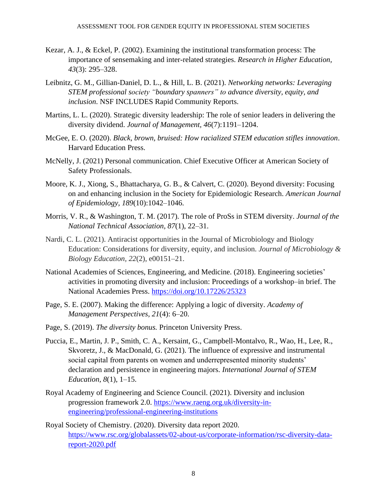- Kezar, A. J., & Eckel, P. (2002). Examining the institutional transformation process: The importance of sensemaking and inter-related strategies. *Research in Higher Education, 43*(3): 295–328.
- Leibnitz, G. M., Gillian-Daniel, D. L., & Hill, L. B. (2021). *Networking networks: Leveraging STEM professional society "boundary spanners" to advance diversity, equity, and inclusion*. NSF INCLUDES Rapid Community Reports.
- Martins, L. L. (2020). Strategic diversity leadership: The role of senior leaders in delivering the diversity dividend. *Journal of Management, 46*(7):1191–1204.
- McGee, E. O. (2020). *Black, brown, bruised: How racialized STEM education stifles innovation*. Harvard Education Press.
- McNelly, J. (2021) Personal communication. Chief Executive Officer at American Society of Safety Professionals.
- Moore, K. J., Xiong, S., Bhattacharya, G. B., & Calvert, C. (2020). Beyond diversity: Focusing on and enhancing inclusion in the Society for Epidemiologic Research. *American Journal of Epidemiology, 189*(10):1042–1046.
- Morris, V. R., & Washington, T. M. (2017). The role of ProSs in STEM diversity. *Journal of the National Technical Association, 87*(1), 22–31.
- Nardi, C. L. (2021). Antiracist opportunities in the Journal of Microbiology and Biology Education: Considerations for diversity, equity, and inclusion. *Journal of Microbiology & Biology Education, 22*(2), e00151–21.
- National Academies of Sciences, Engineering, and Medicine. (2018). Engineering societies' activities in promoting diversity and inclusion: Proceedings of a workshop–in brief. The National Academies Press.<https://doi.org/10.17226/25323>
- Page, S. E. (2007). Making the difference: Applying a logic of diversity. *Academy of Management Perspectives, 21*(4): 6–20.
- Page, S. (2019). *The diversity bonus.* Princeton University Press.
- Puccia, E., Martin, J. P., Smith, C. A., Kersaint, G., Campbell-Montalvo, R., Wao, H., Lee, R., Skvoretz, J., & MacDonald, G. (2021). The influence of expressive and instrumental social capital from parents on women and underrepresented minority students' declaration and persistence in engineering majors. *International Journal of STEM Education, 8*(1), 1–15.
- Royal Academy of Engineering and Science Council. (2021). Diversity and inclusion progression framework 2.0. [https://www.raeng.org.uk/diversity-in](https://www.raeng.org.uk/diversity-in-engineering/professional-engineering-institutions)[engineering/professional-engineering-institutions](https://www.raeng.org.uk/diversity-in-engineering/professional-engineering-institutions)
- Royal Society of Chemistry. (2020). Diversity data report 2020. [https://www.rsc.org/globalassets/02-about-us/corporate-information/rsc-diversity-data](https://www.rsc.org/globalassets/02-about-us/corporate-information/rsc-diversity-data-report-2020.pdf)[report-2020.pdf](https://www.rsc.org/globalassets/02-about-us/corporate-information/rsc-diversity-data-report-2020.pdf)